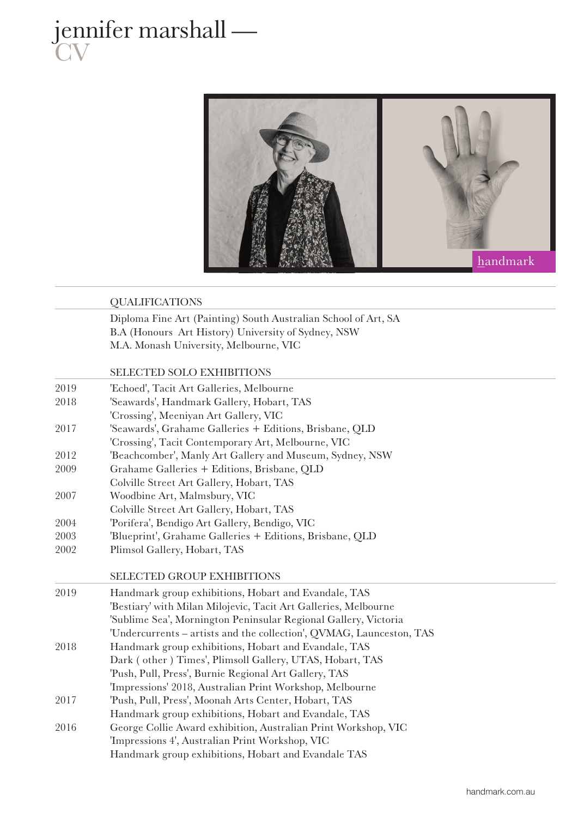



## QUALIFICATIONS

Diploma Fine Art (Painting) South Australian School of Art, SA B.A (Honours Art History) University of Sydney, NSW M.A. Monash University, Melbourne, VIC

## SELECTED SOLO EXHIBITIONS

| 2019 | 'Echoed', Tacit Art Galleries, Melbourne                             |
|------|----------------------------------------------------------------------|
| 2018 | 'Seawards', Handmark Gallery, Hobart, TAS                            |
|      | 'Crossing', Meeniyan Art Gallery, VIC                                |
| 2017 | 'Seawards', Grahame Galleries + Editions, Brisbane, QLD              |
|      | 'Crossing', Tacit Contemporary Art, Melbourne, VIC                   |
| 2012 | 'Beachcomber', Manly Art Gallery and Museum, Sydney, NSW             |
| 2009 | Grahame Galleries + Editions, Brisbane, QLD                          |
|      | Colville Street Art Gallery, Hobart, TAS                             |
| 2007 | Woodbine Art, Malmsbury, VIC                                         |
|      | Colville Street Art Gallery, Hobart, TAS                             |
| 2004 | 'Porifera', Bendigo Art Gallery, Bendigo, VIC                        |
| 2003 | 'Blueprint', Grahame Galleries + Editions, Brisbane, QLD             |
| 2002 | Plimsol Gallery, Hobart, TAS                                         |
|      |                                                                      |
|      | <b>SELECTED GROUP EXHIBITIONS</b>                                    |
| 2019 | Handmark group exhibitions, Hobart and Evandale, TAS                 |
|      | 'Bestiary' with Milan Milojevic, Tacit Art Galleries, Melbourne      |
|      | 'Sublime Sea', Mornington Peninsular Regional Gallery, Victoria      |
|      | 'Undercurrents - artists and the collection', QVMAG, Launceston, TAS |
| 2018 | Handmark group exhibitions, Hobart and Evandale, TAS                 |
|      | Dark (other) Times', Plimsoll Gallery, UTAS, Hobart, TAS             |
|      | 'Push, Pull, Press', Burnie Regional Art Gallery, TAS                |
|      | 'Impressions' 2018, Australian Print Workshop, Melbourne             |
| 2017 | 'Push, Pull, Press', Moonah Arts Center, Hobart, TAS                 |
|      | Handmark group exhibitions, Hobart and Evandale, TAS                 |
| 2016 | George Collie Award exhibition, Australian Print Workshop, VIC       |
|      | 'Impressions 4', Australian Print Workshop, VIC                      |
|      | Handmark group exhibitions, Hobart and Evandale TAS                  |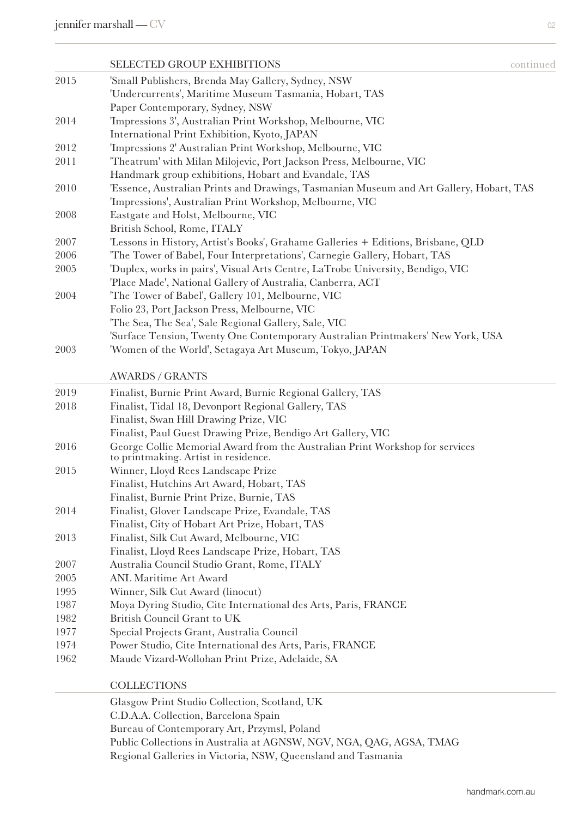|      | <b>SELECTED GROUP EXHIBITIONS</b>                                                       | continued |
|------|-----------------------------------------------------------------------------------------|-----------|
| 2015 | 'Small Publishers, Brenda May Gallery, Sydney, NSW                                      |           |
| 2014 | 'Undercurrents', Maritime Museum Tasmania, Hobart, TAS                                  |           |
|      | Paper Contemporary, Sydney, NSW                                                         |           |
|      | 'Impressions 3', Australian Print Workshop, Melbourne, VIC                              |           |
|      | International Print Exhibition, Kyoto, JAPAN                                            |           |
| 2012 | 'Impressions 2' Australian Print Workshop, Melbourne, VIC                               |           |
| 2011 | 'Theatrum' with Milan Milojevic, Port Jackson Press, Melbourne, VIC                     |           |
|      | Handmark group exhibitions, Hobart and Evandale, TAS                                    |           |
| 2010 | 'Essence, Australian Prints and Drawings, Tasmanian Museum and Art Gallery, Hobart, TAS |           |
|      | 'Impressions', Australian Print Workshop, Melbourne, VIC                                |           |
| 2008 | Eastgate and Holst, Melbourne, VIC                                                      |           |
|      | British School, Rome, ITALY                                                             |           |
| 2007 | 'Lessons in History, Artist's Books', Grahame Galleries + Editions, Brisbane, QLD       |           |
| 2006 | 'The Tower of Babel, Four Interpretations', Carnegie Gallery, Hobart, TAS               |           |
| 2005 | 'Duplex, works in pairs', Visual Arts Centre, LaTrobe University, Bendigo, VIC          |           |
|      | 'Place Made', National Gallery of Australia, Canberra, ACT                              |           |
| 2004 | 'The Tower of Babel', Gallery 101, Melbourne, VIC                                       |           |
|      | Folio 23, Port Jackson Press, Melbourne, VIC                                            |           |
|      | 'The Sea, The Sea', Sale Regional Gallery, Sale, VIC                                    |           |
|      | 'Surface Tension, Twenty One Contemporary Australian Printmakers' New York, USA         |           |
| 2003 | 'Women of the World', Setagaya Art Museum, Tokyo, JAPAN                                 |           |
|      | <b>AWARDS / GRANTS</b>                                                                  |           |
| 2019 | Finalist, Burnie Print Award, Burnie Regional Gallery, TAS                              |           |
| 2018 | Finalist, Tidal 18, Devonport Regional Gallery, TAS                                     |           |
|      | Finalist, Swan Hill Drawing Prize, VIC                                                  |           |
|      | Finalist, Paul Guest Drawing Prize, Bendigo Art Gallery, VIC                            |           |
| 2016 | George Collie Memorial Award from the Australian Print Workshop for services            |           |
|      | to printmaking. Artist in residence.                                                    |           |
| 2015 | Winner, Lloyd Rees Landscape Prize                                                      |           |
|      | Finalist, Hutchins Art Award, Hobart, TAS                                               |           |
|      | Finalist, Burnie Print Prize, Burnie, TAS                                               |           |
| 2014 | Finalist, Glover Landscape Prize, Evandale, TAS                                         |           |
|      | Finalist, City of Hobart Art Prize, Hobart, TAS                                         |           |
| 2013 | Finalist, Silk Cut Award, Melbourne, VIC                                                |           |
|      | Finalist, Lloyd Rees Landscape Prize, Hobart, TAS                                       |           |
| 2007 | Australia Council Studio Grant, Rome, ITALY                                             |           |
| 2005 | <b>ANL Maritime Art Award</b>                                                           |           |
| 1995 | Winner, Silk Cut Award (linocut)                                                        |           |
| 1987 | Moya Dyring Studio, Cite International des Arts, Paris, FRANCE                          |           |
| 1982 | British Council Grant to UK                                                             |           |
| 1977 | Special Projects Grant, Australia Council                                               |           |
| 1974 | Power Studio, Cite International des Arts, Paris, FRANCE                                |           |
| 1962 | Maude Vizard-Wollohan Print Prize, Adelaide, SA                                         |           |
|      | <b>COLLECTIONS</b>                                                                      |           |
|      | Glasgow Print Studio Collection, Scotland, UK                                           |           |
|      | C.D.A.A. Collection, Barcelona Spain                                                    |           |

- Bureau of Contemporary Art, Przymsl, Poland
- Public Collections in Australia at AGNSW, NGV, NGA, QAG, AGSA, TMAG
- Regional Galleries in Victoria, NSW, Queensland and Tasmania